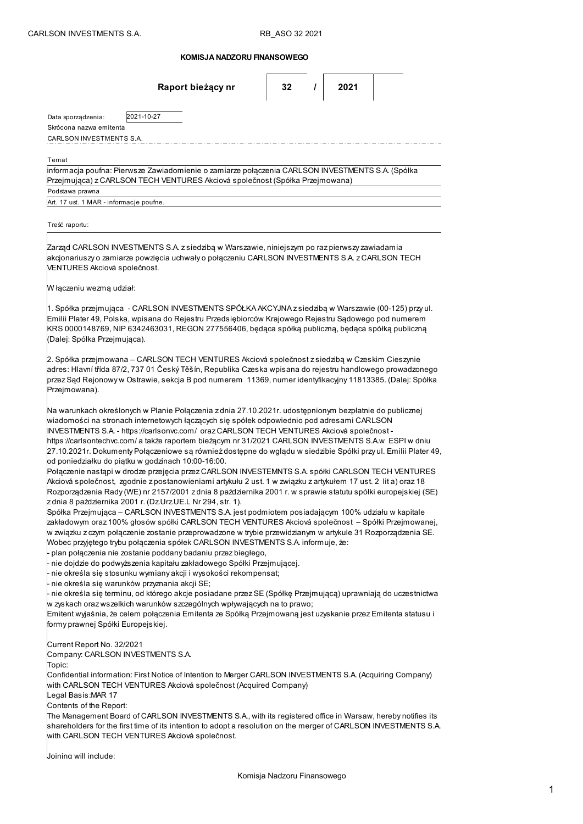|  |  |  |  | KOMISJA NADZORU FINANSOWEGO |
|--|--|--|--|-----------------------------|
|--|--|--|--|-----------------------------|

| Raport bieżący nr                                                                                                                                                                                                                                                                                                                                                                                                                                                                                                                                                                                                                                                                                                                                                                                                                                                                                                                                                                                                                                                                                                                                                                                                                                                                                                                                                                                                                                                                                                                                                                                                                                                                                                                                                                                                                                                                                                                                                                                                                   | 32 |  | 2021 |  |  |  |  |  |
|-------------------------------------------------------------------------------------------------------------------------------------------------------------------------------------------------------------------------------------------------------------------------------------------------------------------------------------------------------------------------------------------------------------------------------------------------------------------------------------------------------------------------------------------------------------------------------------------------------------------------------------------------------------------------------------------------------------------------------------------------------------------------------------------------------------------------------------------------------------------------------------------------------------------------------------------------------------------------------------------------------------------------------------------------------------------------------------------------------------------------------------------------------------------------------------------------------------------------------------------------------------------------------------------------------------------------------------------------------------------------------------------------------------------------------------------------------------------------------------------------------------------------------------------------------------------------------------------------------------------------------------------------------------------------------------------------------------------------------------------------------------------------------------------------------------------------------------------------------------------------------------------------------------------------------------------------------------------------------------------------------------------------------------|----|--|------|--|--|--|--|--|
| 2021-10-27<br>Data sporządzenia:<br>Skrócona nazwa emitenta                                                                                                                                                                                                                                                                                                                                                                                                                                                                                                                                                                                                                                                                                                                                                                                                                                                                                                                                                                                                                                                                                                                                                                                                                                                                                                                                                                                                                                                                                                                                                                                                                                                                                                                                                                                                                                                                                                                                                                         |    |  |      |  |  |  |  |  |
| CARLSON INVESTMENTS S.A.                                                                                                                                                                                                                                                                                                                                                                                                                                                                                                                                                                                                                                                                                                                                                                                                                                                                                                                                                                                                                                                                                                                                                                                                                                                                                                                                                                                                                                                                                                                                                                                                                                                                                                                                                                                                                                                                                                                                                                                                            |    |  |      |  |  |  |  |  |
| Temat<br>informacja poufna: Pierwsze Zawiadomienie o zamiarze połączenia CARLSON INVESTMENTS S.A. (Spółka<br>Przejmująca) z CARLSON TECH VENTURES Akciová společnost (Spółka Przejmowana)<br>Podstawa prawna                                                                                                                                                                                                                                                                                                                                                                                                                                                                                                                                                                                                                                                                                                                                                                                                                                                                                                                                                                                                                                                                                                                                                                                                                                                                                                                                                                                                                                                                                                                                                                                                                                                                                                                                                                                                                        |    |  |      |  |  |  |  |  |
| Art. 17 ust. 1 MAR - informacje poufne.                                                                                                                                                                                                                                                                                                                                                                                                                                                                                                                                                                                                                                                                                                                                                                                                                                                                                                                                                                                                                                                                                                                                                                                                                                                                                                                                                                                                                                                                                                                                                                                                                                                                                                                                                                                                                                                                                                                                                                                             |    |  |      |  |  |  |  |  |
| Treść raportu:                                                                                                                                                                                                                                                                                                                                                                                                                                                                                                                                                                                                                                                                                                                                                                                                                                                                                                                                                                                                                                                                                                                                                                                                                                                                                                                                                                                                                                                                                                                                                                                                                                                                                                                                                                                                                                                                                                                                                                                                                      |    |  |      |  |  |  |  |  |
| Zarząd CARLSON INVESTMENTS S.A. z siedzibą w Warszawie, niniejszym po raz pierwszy zawiadamia<br>akcjonariuszy o zamiarze powzięcia uchwały o połączeniu CARLSON INVESTMENTS S.A. z CARLSON TECH<br>VENTURES Akciová společnost.                                                                                                                                                                                                                                                                                                                                                                                                                                                                                                                                                                                                                                                                                                                                                                                                                                                                                                                                                                                                                                                                                                                                                                                                                                                                                                                                                                                                                                                                                                                                                                                                                                                                                                                                                                                                    |    |  |      |  |  |  |  |  |
| W łączeniu wezmą udział:                                                                                                                                                                                                                                                                                                                                                                                                                                                                                                                                                                                                                                                                                                                                                                                                                                                                                                                                                                                                                                                                                                                                                                                                                                                                                                                                                                                                                                                                                                                                                                                                                                                                                                                                                                                                                                                                                                                                                                                                            |    |  |      |  |  |  |  |  |
| 1. Spółka przejmująca  - CARLSON INVESTMENTS SPÓŁKA AKCYJNA z siedzibą w Warszawie (00-125) przyul.<br>Emilii Plater 49, Polska, wpisana do Rejestru Przedsiębiorców Krajowego Rejestru Sądowego pod numerem<br>KRS 0000148769, NIP 6342463031, REGON 277556406, będąca spółką publiczną, będąca spółką publiczną<br>(Dalej: Spółka Przejmująca).                                                                                                                                                                                                                                                                                                                                                                                                                                                                                                                                                                                                                                                                                                                                                                                                                                                                                                                                                                                                                                                                                                                                                                                                                                                                                                                                                                                                                                                                                                                                                                                                                                                                                   |    |  |      |  |  |  |  |  |
| 2. Spółka przejmowana – CARLSON TECH VENTURES Akciová společnost z siedzibą w Czeskim Cieszynie<br>adres: Hlavní třída 87/2, 737 01 Český Těšín, Republika Czeska wpisana do rejestru handlowego prowadzonego<br>przez Sąd Rejonowy w Ostrawie, sekcja B pod numerem  11369, numer identyfikacyjny 11813385. (Dalej: Spółka<br>Przejmowana).                                                                                                                                                                                                                                                                                                                                                                                                                                                                                                                                                                                                                                                                                                                                                                                                                                                                                                                                                                                                                                                                                                                                                                                                                                                                                                                                                                                                                                                                                                                                                                                                                                                                                        |    |  |      |  |  |  |  |  |
| Na warunkach określonych w Planie Połączenia z dnia 27.10.2021r. udostępnionym bezpłatnie do publicznej<br>wiadomości na stronach internetowych łączących się spółek odpowiednio pod adresami CARLSON<br>INVESTMENTS S.A. - https://carlsonvc.com/ oraz CARLSON TECH VENTURES Akciová společnost -<br>https://carlsontechvc.com/ a także raportem bieżącym nr 31/2021 CARLSON INVESTMENTS S.A.w  ESPI w dniu<br>27.10.2021r. Dokumenty Połączeniowe są również dostępne do wglądu w siedzibie Spółki przy ul. Emilii Plater 49,<br>od poniedziałku do piątku w godzinach 10:00-16:00.<br>Połączenie nastąpi w drodze przejęcia przez CARLSON INVESTEMNTS S.A. spółki CARLSON TECH VENTURES<br>Akciová společnost, <i>z</i> godnie z postanowieniami artykułu 2 ust. 1 w związku z artykułem 17 ust. 2  lit a) oraz 18<br>Rozporządzenia Rady (WE) nr 2157/2001 z dnia 8 października 2001 r. w sprawie statutu spółki europejskiej (SE)<br>z dnia 8 października 2001 r. (Dz.Urz UE.L Nr 294, str. 1).<br>Spółka Przejmująca – CARLSON INVESTMENTS S.A. jest podmiotem posiadającym 100% udziału w kapitale<br>zakładowym oraz 100% głosów spółki CARLSON TECH VENTURES Akciová společnost – Spółki Przejmowanej,<br>w związku z czym połączenie zostanie przeprowadzone w trybie przewidzianym w artykule 31 Rozporządzenia SE.<br>Wobec przyjętego trybu połączenia spółek CARLSON INVESTMENTS S.A. informuje, że:<br>plan połączenia nie zostanie poddany badaniu przez biegłego,<br>nie dojdzie do podwyższenia kapitału zakładowego Spółki Przejmującej.<br>nie określa się stosunku wymiany akcji i wysokości rekompensat;<br>nie określa się warunków przyznania akcji SE;<br>nie określa się terminu, od którego akcje posiadane przez SE (Spółkę Przejmującą) uprawniają do uczestnictwa<br>w zyskach oraz wszelkich warunków szczególnych wpływających na to prawo;<br>Emitent wyjaśnia, że celem połączenia Emitenta ze Spółką Przejmowaną jest uzyskanie przez Emitenta statusu i<br>formy prawnej Spółki Europejskiej. |    |  |      |  |  |  |  |  |
| Current Report No. 32/2021<br>Company: CARLSON INVESTMENTS S.A.<br>Topic:<br>(Confidential information: First Notice of Intention to Merger CARLSON INVESTMENTS S.A. (Acquiring Company<br>with CARLSON TECH VENTURES Akciová společnost (Acquired Company)                                                                                                                                                                                                                                                                                                                                                                                                                                                                                                                                                                                                                                                                                                                                                                                                                                                                                                                                                                                                                                                                                                                                                                                                                                                                                                                                                                                                                                                                                                                                                                                                                                                                                                                                                                         |    |  |      |  |  |  |  |  |
| Legal Basis:MAR 17<br>Contents of the Report:<br>The Management Board of CARLSON INVESTMENTS S.A., with its registered office in Warsaw, hereby notifies its<br>shareholders for the first time of its intention to adopt a resolution on the merger of CARLSON INVESTMENTS S.A.<br>with CARLSON TECH VENTURES Akciová společnost.                                                                                                                                                                                                                                                                                                                                                                                                                                                                                                                                                                                                                                                                                                                                                                                                                                                                                                                                                                                                                                                                                                                                                                                                                                                                                                                                                                                                                                                                                                                                                                                                                                                                                                  |    |  |      |  |  |  |  |  |
| Joining will include:                                                                                                                                                                                                                                                                                                                                                                                                                                                                                                                                                                                                                                                                                                                                                                                                                                                                                                                                                                                                                                                                                                                                                                                                                                                                                                                                                                                                                                                                                                                                                                                                                                                                                                                                                                                                                                                                                                                                                                                                               |    |  |      |  |  |  |  |  |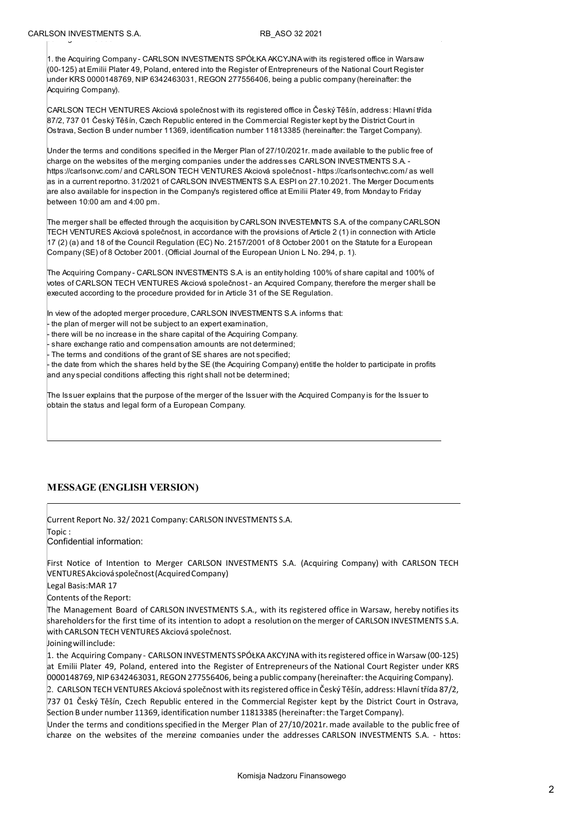1. the Acquiring Company - CARLSON INVESTMENTS SPÓŁKA AKCYJNA with its registered office in Warsaw (00-125) at Emilii Plater 49, Poland, entered into the Register of Entrepreneurs of the National Court Register under KRS 0000148769, NIP 6342463031, REGON 277556406, being a public company (hereinafter: the Acquiring Company).

CARLSON TECH VENTURES Akciová společnost with its registered office in Český Těšín, address: Hlavní třída 87/2, 737 01 Český Těšín, Czech Republic entered in the Commercial Register kept by the District Court in Ostrava, Section B under number 11369, identification number 11813385 (hereinafter: the Target Company).

Under the terms and conditions specified in the Merger Plan of 27/10/2021r. made available to the public free of charge on the websites of the merging companies under the addresses CARLSON INVESTMENTS S.A. https://carlsonvc.com/ and CARLSON TECH VENTURES Akciová společnost - https://carlsontechvc.com/ as well as in a current reportno. 31/2021 of CARLSON INVESTMENTS S.A. ESPI on 27.10.2021. The Merger Documents are also available for inspection in the Company's registered office at Emilii Plater 49, from Monday to Friday between 10:00 am and 4:00 pm.

The merger shall be effected through the acquisition by CARLSON INVESTEMNTS S.A. of the company CARLSON. TECH VENTURES Akciová společnost, in accordance with the provisions of Article 2 (1) in connection with Article 17 (2) (a) and 18 of the Council Regulation (EC) No. 2157/2001 of 8 October 2001 on the Statute for a European Company (SE) of 8 October 2001. (Official Journal of the European Union L No. 294, p. 1).

The Acquiring Company - CARLSON INVESTMENTS S.A. is an entity holding 100% of share capital and 100% of votes of CARLSON TECH VENTURES Akciová společnost - an Acquired Company, therefore the merger shall be executed according to the procedure provided for in Article 31 of the SE Regulation.

In view of the adopted merger procedure, CARLSON INVESTMENTS S.A. informs that:

the plan of merger will not be subject to an expert examination,

there will be no increase in the share capital of the Acquiring Company.

share exchange ratio and compensation amounts are not determined;

The terms and conditions of the grant of SE shares are not specified;

the date from which the shares held by the SE (the Acquiring Company) entitle the holder to participate in profits and any special conditions affecting this right shall not be determined;

The Issuer explains that the purpose of the merger of the Issuer with the Acquired Company is for the Issuer to obtain the status and legal form of a European Company.

## MESSAGE (ENGLISH VERSION)

Current Report No. 32/ 2021 Company: CARLSON INVESTMENTS S.A. Topic : Confidential information: First Notice of Intention to Merger CARLSON INVESTMENTS S.A. (Acquiring Company) with CARLSON TECH VENTURES Akciová společnost (Acquired Company) Legal Basis:MAR 17 Contents of the Report: The Management Board of CARLSON INVESTMENTS S.A., with its registered office in Warsaw, hereby notifiesits shareholders for the first time of its intention to adopt a resolution on the merger of CARLSON INVESTMENTS S.A. with CARLSON TECH VENTURES Akciová společnost. Joining will include: 1. the Acquiring Company - CARLSON INVESTMENTS SPÓŁKA AKCYJNA with its registered office in Warsaw (00-125)

at Emilii Plater 49, Poland, entered into the Register of Entrepreneurs of the National Court Register under KRS 0000148769, NIP 6342463031, REGON 277556406, being a public company (hereinafter: the Acquiring Company).

2. CARLSON TECH VENTURES Akciová společnost with its registered office in Český Těšín, address: Hlavní třída 87/2, 737 01 Český Těšín, Czech Republic entered in the Commercial Register kept by the District Court in Ostrava, Section B under number 11369, identification number 11813385 (hereinafter: the Target Company).

Under the terms and conditions specified in the Merger Plan of 27/10/2021r. made available to the public free of charge on the websites of the merging companies under the addresses CARLSON INVESTMENTS S.A. - https: